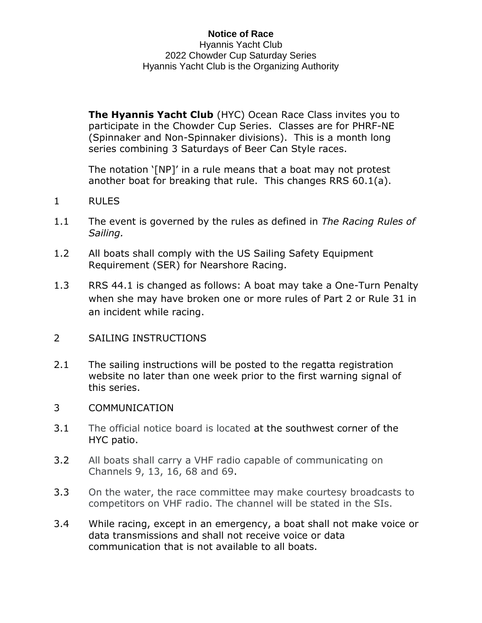## **Notice of Race** Hyannis Yacht Club 2022 Chowder Cup Saturday Series Hyannis Yacht Club is the Organizing Authority

**The Hyannis Yacht Club** (HYC) Ocean Race Class invites you to participate in the Chowder Cup Series. Classes are for PHRF-NE (Spinnaker and Non-Spinnaker divisions). This is a month long series combining 3 Saturdays of Beer Can Style races.

The notation '[NP]' in a rule means that a boat may not protest another boat for breaking that rule. This changes RRS 60.1(a).

- 1 RULES
- 1.1 The event is governed by the rules as defined in *The Racing Rules of Sailing.*
- 1.2 All boats shall comply with the US Sailing Safety Equipment Requirement (SER) for Nearshore Racing.
- 1.3 RRS 44.1 is changed as follows: A boat may take a One-Turn Penalty when she may have broken one or more rules of Part 2 or Rule 31 in an incident while racing.
- 2 SAILING INSTRUCTIONS
- 2.1 The sailing instructions will be posted to the regatta registration website no later than one week prior to the first warning signal of this series.
- 3 COMMUNICATION
- 3.1 The official notice board is located at [the](https://hyannisyachtclub.org/racing) southwest corner of the HYC patio.
- 3.2 All boats shall carry a VHF radio capable of communicating on Channels 9, 13, 16, 68 and 69.
- 3.3 On the water, the race committee may make courtesy broadcasts to competitors on VHF radio. The channel will be stated in the SIs.
- 3.4 While racing, except in an emergency, a boat shall not make voice or data transmissions and shall not receive voice or data communication that is not available to all boats.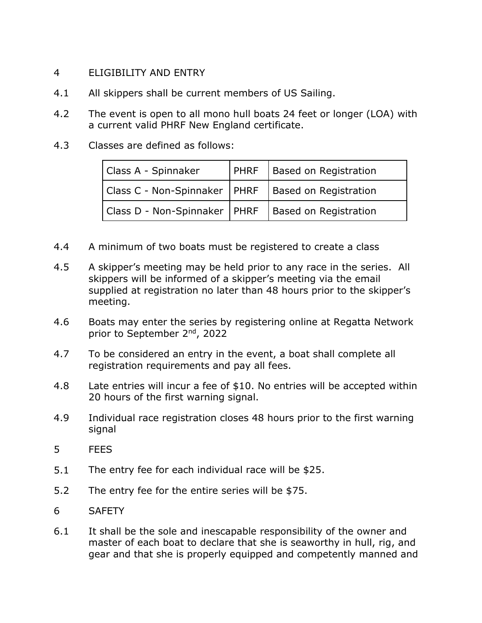## 4 ELIGIBILITY AND ENTRY

- 4.1 All skippers shall be current members of US Sailing.
- 4.2 The event is open to all mono hull boats 24 feet or longer (LOA) with a current valid PHRF New England certificate.
- 4.3 Classes are defined as follows:

| Class A - Spinnaker                                    | <b>PHRF</b> Based on Registration |
|--------------------------------------------------------|-----------------------------------|
| Class C - Non-Spinnaker   PHRF   Based on Registration |                                   |
| Class D - Non-Spinnaker   PHRF   Based on Registration |                                   |

- 4.4 A minimum of two boats must be registered to create a class
- 4.5 A skipper's meeting may be held prior to any race in the series. All skippers will be informed of a skipper's meeting via the email supplied at registration no later than 48 hours prior to the skipper's meeting.
- 4.6 Boats may enter the series by registering online at Regatta Network prior to September 2nd, 2022
- 4.7 To be considered an entry in the event, a boat shall complete all registration requirements and pay all fees.
- 4.8 Late entries will incur a fee of \$10. No entries will be accepted within 20 hours of the first warning signal.
- 4.9 Individual race registration closes 48 hours prior to the first warning signal
- 5 FEES
- 5.1 The entry fee for each individual race will be \$25.
- 5.2 The entry fee for the entire series will be \$75.
- 6 SAFETY
- 6.1 It shall be the sole and inescapable responsibility of the owner and master of each boat to declare that she is seaworthy in hull, rig, and gear and that she is properly equipped and competently manned and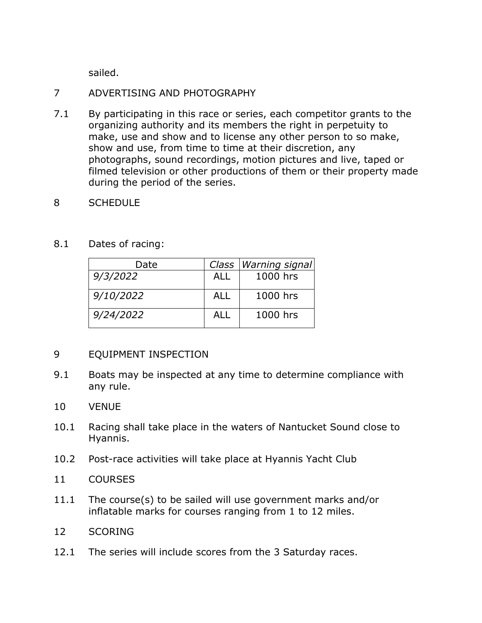sailed.

## 7 ADVERTISING AND PHOTOGRAPHY

- 7.1 By participating in this race or series, each competitor grants to the organizing authority and its members the right in perpetuity to make, use and show and to license any other person to so make, show and use, from time to time at their discretion, any photographs, sound recordings, motion pictures and live, taped or filmed television or other productions of them or their property made during the period of the series.
- 8 SCHEDULE
- 8.1 Dates of racing:

| Date      |            | Class   Warning signal |
|-----------|------------|------------------------|
| 9/3/2022  | ALL        | 1000 hrs               |
| 9/10/2022 | <b>ALL</b> | 1000 hrs               |
| 9/24/2022 | ALL        | 1000 hrs               |

## 9 EQUIPMENT INSPECTION

- 9.1 Boats may be inspected at any time to determine compliance with any rule.
- 10 VENUE
- 10.1 Racing shall take place in the waters of Nantucket Sound close to Hyannis.
- 10.2 Post-race activities will take place at Hyannis Yacht Club
- 11 COURSES
- 11.1 The course(s) to be sailed will use government marks and/or inflatable marks for courses ranging from 1 to 12 miles.
- 12 SCORING
- 12.1 The series will include scores from the 3 Saturday races.